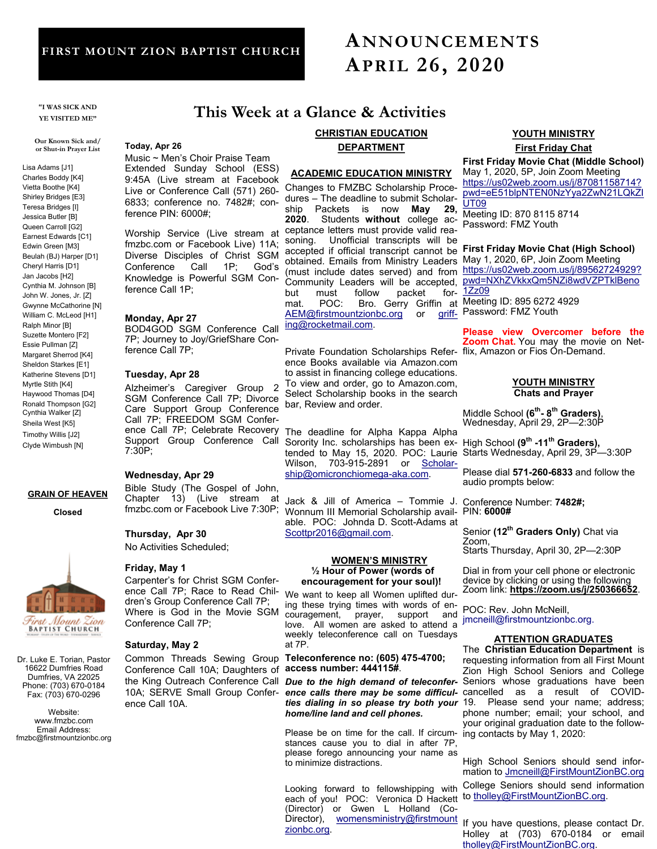# **FIRST MOUNT ZION BAPTIST CHURCH**

# **ANNOUNCEMENTS APRIL 26, 2020**

**"I WAS SICK AND YE VISITED ME"** 

**Our Known Sick and/ or Shut-in Prayer List**

Lisa Adams [J1] Charles Boddy [K4] Vietta Boothe [K4] Shirley Bridges [E3] Teresa Bridges [I] Jessica Butler [B] Queen Carroll [G2] Earnest Edwards [C1] Edwin Green [M3] Beulah (BJ) Harper [D1] Cheryl Harris [D1] Jan Jacobs [H2] Cynthia M. Johnson [B] John W. Jones, Jr. [Z] Gwynne McCathorine [N] William C. McLeod [H1] Ralph Minor [B] Suzette Montero [F2] Essie Pullman [Z] Margaret Sherrod [K4] Sheldon Starkes [E1] Katherine Stevens [D1] Myrtle Stith [K4] Haywood Thomas [D4] Ronald Thompson [G2] Cynthia Walker [Z] Sheila West [K5] Timothy Willis [J2] Clyde Wimbush [N]

## **GRAIN OF HEAVEN**

**Closed**



Dr. Luke E. Torian, Pastor 16622 Dumfries Road Dumfries, VA 22025 Phone: (703) 670-0184 Fax: (703) 670-0296

Website: www.fmzbc.com Email Address: fmzbc@firstmountzionbc.org

# **This Week at a Glance & Activities**

#### **Today, Apr 26**

Music ~ Men's Choir Praise Team Extended Sunday School (ESS) 9:45A (Live stream at Facebook Live or Conference Call (571) 260- 6833; conference no. 7482#; conference PIN: 6000#;

fmzbc.com or Facebook Live) 11A; Diverse Disciples of Christ SGM Conference Call 1P; God's Knowledge is Powerful SGM Conference Call 1P;

#### **Monday, Apr 27**

BOD4GOD SGM Conference Call 7P; Journey to Joy/GriefShare Conference Call 7P;

#### **Tuesday, Apr 28**

Alzheimer's Caregiver Group 2 SGM Conference Call 7P; Divorce Care Support Group Conference Call 7P; FREEDOM SGM Conference Call 7P; Celebrate Recovery Support Group Conference Call 7:30P;

### **Wednesday, Apr 29**

Bible Study (The Gospel of John, Chapter 13) (Live stream at fmzbc.com or Facebook Live 7:30P;

**Thursday, Apr 30**

No Activities Scheduled;

#### **Friday, May 1**

Carpenter's for Christ SGM Conference Call 7P; Race to Read Children's Group Conference Call 7P; Where is God in the Movie SGM Conference Call 7P;

#### **Saturday, May 2**

Common Threads Sewing Group Conference Call 10A; Daughters of 10A; SERVE Small Group Conference Call 10A.

# **CHRISTIAN EDUCATION**

# **DEPARTMENT**

## **ACADEMIC EDUCATION MINISTRY**

Worship Service (Live stream at ceptance letters must provide valid reaobtained. Emails from Ministry Leaders May 1, 2020, 6P, Join Zoom Meeting but must follow packet for- $\underline{\begin{array}{c} 1 \text{ } \text{ } \text{ } 2209} \end{array}}$ mat. POC: Bro. Gerry Griffin at $\overline{\begin{array}{c} \text{Meeting ID: 895 6272 4929} \end{array}}$ Changes to FMZBC Scholarship Procedures – The deadline to submit Scholar-<br>ship Packets is now **May 29**, ship Packets is now May **2020**. Students **without** college acsoning. Unofficial transcripts will be (must include dates served) and from mat. POC: Bro. Gerry Griffin at [AEM@firstmountzionbc.org](mailto:AEM@firstmountzionbc.org) or [griff-](mailto:griffing@rocketmail.com)

[ing@rocketmail.com.](mailto:griffing@rocketmail.com)

Private Foundation Scholarships Refer- flix, Amazon or Fios On-Demand. ence Books available via Amazon.com to assist in financing college educations. To view and order, go to Amazon.com, Select Scholarship books in the search bar, Review and order.

The deadline for Alpha Kappa Alpha Sorority Inc. scholarships has been extended to May 15, 2020. POC: Laurie Wilson, 703-915-2891 or [Scholar](mailto:Scholarship@omicronchiomega-aka.com)[ship@omicronchiomega](mailto:Scholarship@omicronchiomega-aka.com)-aka.com.

Jack & Jill of America – Tommie J. Conference Number: **7482#**; Wonnum III Memorial Scholarship avail- PIN: 6000# able. POC: Johnda D. Scott-Adams at [Scottpr2016@gmail.com.](mailto:Scottpr2016@gmail.com) 

### **WOMEN'S MINISTRY ½ Hour of Power (words of encouragement for your soul)!**

We want to keep all Women uplifted during these trying times with words of encouragement, prayer, support and love. All women are asked to attend a weekly teleconference call on Tuesdays at 7P.

**Teleconference no: (605) 475-4700; access number: 444115#**.

the King Outreach Conference Call *Due to the high demand of teleconferhome/line land and cell phones.*

> Please be on time for the call. If circum- ing contacts by May 1, 2020: stances cause you to dial in after 7P, please forego announcing your name as to minimize distractions.

Director), [womensministry@firstmount](mailto:womensministry@firstmountzionbc.org) If you have questions, please contact Dr. Looking forward to fellowshipping with each of you! POC: Veronica D Hackett (Director) or Gwen L Holland (Co[zionbc.org.](mailto:womensministry@firstmountzionbc.org)

# **YOUTH MINISTRY First Friday Chat**

**First Friday Movie Chat (Middle School)** May 1, 2020, 5P, Join Zoom Meeting [https://us02web.zoom.us/j/87081158714?](https://us02web.zoom.us/j/87081158714?pwd=eE51blpNTEN0NzYya2ZwN21LQkZIUT09) [pwd=eE51blpNTEN0NzYya2ZwN21LQkZI](https://us02web.zoom.us/j/87081158714?pwd=eE51blpNTEN0NzYya2ZwN21LQkZIUT09) [UT09](https://us02web.zoom.us/j/87081158714?pwd=eE51blpNTEN0NzYya2ZwN21LQkZIUT09)

Meeting ID: 870 8115 8714 Password: FMZ Youth

accepted if official transcript cannot be First Friday Movie Chat (High School) [https://us02web.zoom.us/j/89562724929?](https://us02web.zoom.us/j/89562724929?pwd=NXhZVkkxQm5NZi8wdVZPTklBeno1Zz09) Community Leaders will be accepted, **[pwd=NXhZVkkxQm5NZi8wdVZPTklBeno](https://us02web.zoom.us/j/89562724929?pwd=NXhZVkkxQm5NZi8wdVZPTklBeno1Zz09)** for- [1Zz09](https://us02web.zoom.us/j/89562724929?pwd=NXhZVkkxQm5NZi8wdVZPTklBeno1Zz09)

Password: FMZ Youth

**Please view Overcomer before the Zoom Chat.** You may the movie on Net-

#### **YOUTH MINISTRY Chats and Prayer**

Middle School **(6th - 8 th Graders)**, Wednesday, April 29, 2P-2:30P

High School **(9th -11th Graders),**  Starts Wednesday, April 29, 3P—3:30P

Please dial **571-260-6833** and follow the audio prompts below:

Senior **(12th Graders Only)** Chat via Zoom, Starts Thursday, April 30, 2P—2:30P

Dial in from your cell phone or electronic device by clicking or using the following Zoom link: **<https://zoom.us/j/250366652>**.

POC: Rev. John McNeill, jmcneill@firstmountzionbc.org.

# **ATTENTION GRADUATES**

The **Christian Education Department** is requesting information from all First Mount Zion High School Seniors and College Seniors whose graduations have been ence calls there may be some difficul- cancelled as a result of COVIDties dialing in so please try both your 19. Please send your name; address; phone number; email; your school, and your original graduation date to the follow-

> High School Seniors should send information to [Jmcneill@FirstMountZionBC.org](mailto:Jmcneill@FirstMountZionBC.org) College Seniors should send information to [tholley@FirstMountZionBC.org.](mailto:tholley@FirstMountZionBC.org)

> Holley at (703) 670-0184 or email [tholley@FirstMountZionBC.org.](mailto:tholley@FirstMountZionBC.org)